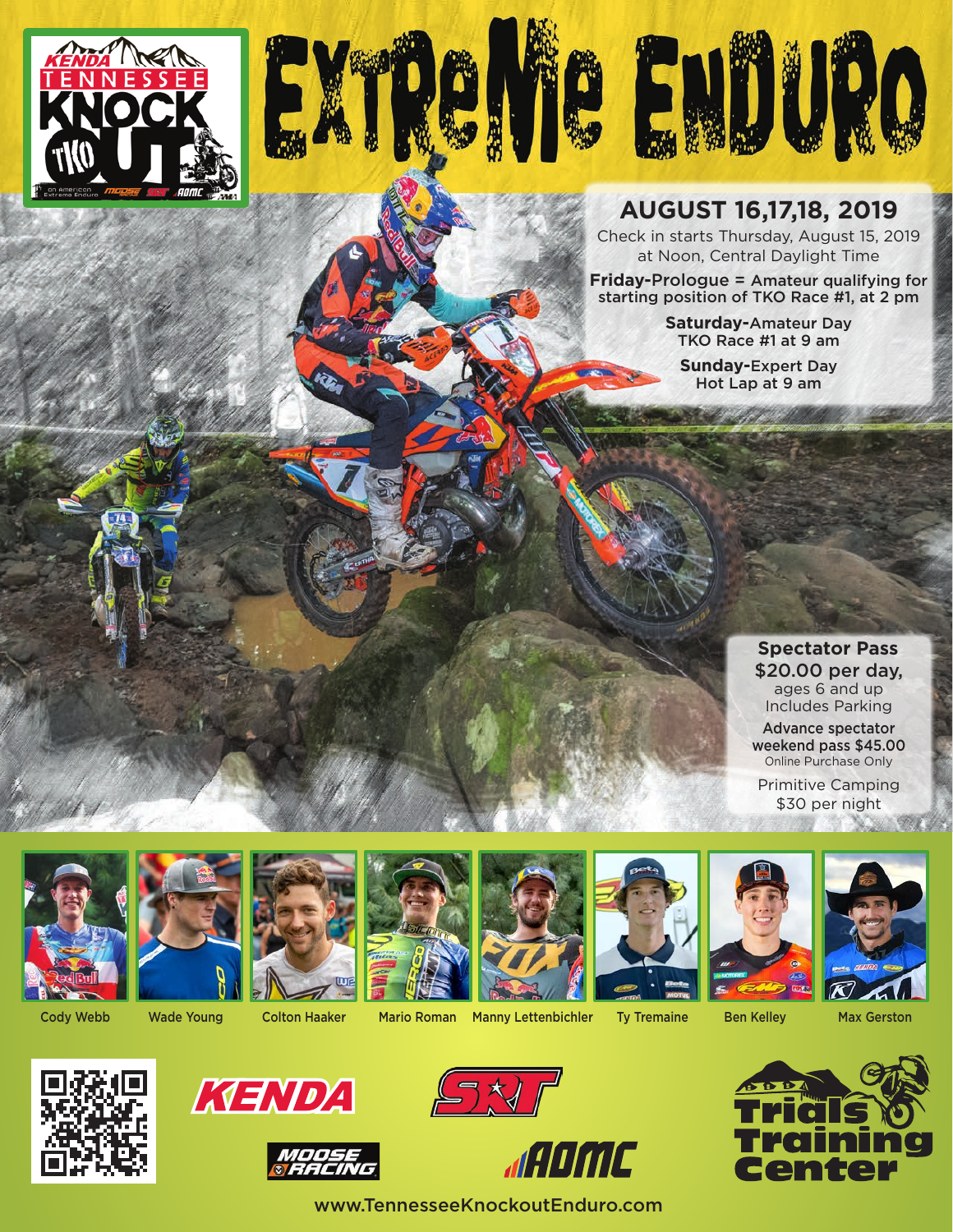



### **AUGUST 16,17,18, 2019**

Check in starts Thursday, August 15, 2019 at Noon, Central Daylight Time

**Friday-**Prologue = Amateur qualifying for starting position of TKO Race #1, at 2 pm

> **Saturday-**Amateur Day TKO Race #1 at 9 am

**Sunday-**Expert Day Hot Lap at 9 am

> **Spectator Pass** \$20.00 per day, ages 6 and up Includes Parking Advance spectator weekend pass \$45.00 Online Purchase Only

Primitive Camping \$30 per night





Cody Webb Wade Young Colton Haaker Mario Roman Manny Lettenbichler Ty Tremaine Ben Kelley Max Gerston























www.TennesseeKnockoutEnduro.com